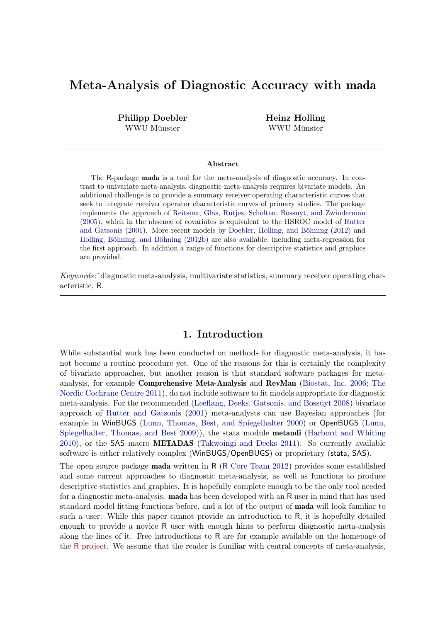# Meta-Analysis of Diagnostic Accuracy with mada

Philipp Doebler WWU Münster

Heinz Holling WWU Münster

#### Abstract

The R-package mada is a tool for the meta-analysis of diagnostic accuracy. In contrast to univariate meta-analysis, diagnostic meta-analysis requires bivariate models. An additional challenge is to provide a summary receiver operating characteristic curves that seek to integrate receiver operator characteristic curves of primary studies. The package implements the approach of [Reitsma, Glas, Rutjes, Scholten, Bossuyt, and Zwinderman](#page-19-0) [\(2005\)](#page-19-0), which in the absence of covariates is equivalent to the HSROC model of [Rutter](#page-19-1) [and Gatsonis](#page-19-1) [\(2001\)](#page-19-1). More recent models by Doebler, Holling, and Böhning [\(2012\)](#page-18-0) and Holling, Böhning, and Böhning [\(2012b\)](#page-19-2) are also available, including meta-regression for the first approach. In addition a range of functions for descriptive statistics and graphics are provided.

Keywords:˜diagnostic meta-analysis, multivariate statistics, summary receiver operating characteristic, R.

### 1. Introduction

While substantial work has been conducted on methods for diagnostic meta-analysis, it has not become a routine procedure yet. One of the reasons for this is certainly the complexity of bivariate approaches, but another reason is that standard software packages for metaanalysis, for example Comprehensive Meta-Analysis and RevMan [\(Biostat, Inc.](#page-18-1) [2006;](#page-18-1) [The](#page-19-3) [Nordic Cochrane Centre](#page-19-3) [2011\)](#page-19-3), do not include software to fit models appropriate for diagnostic meta-analysis. For the recommended [\(Leeflang, Deeks, Gatsonis, and Bossuyt](#page-19-4) [2008\)](#page-19-4) bivariate approach of [Rutter and Gatsonis](#page-19-1) [\(2001\)](#page-19-1) meta-analysts can use Bayesian approaches (for example in WinBUGS [\(Lunn, Thomas, Best, and Spiegelhalter](#page-19-5) [2000\)](#page-19-5) or OpenBUGS [\(Lunn,](#page-19-6) [Spiegelhalter, Thomas, and Best](#page-19-6) [2009\)](#page-19-6)), the stata module metandi [\(Harbord and Whiting](#page-18-2) [2010\)](#page-18-2), or the SAS macro METADAS [\(Takwoingi and Deeks](#page-19-7) [2011\)](#page-19-7). So currently available software is either relatively complex (WinBUGS/OpenBUGS) or proprietary (stata, SAS).

The open source package mada written in R (R [Core Team](#page-19-8) [2012\)](#page-19-8) provides some established and some current approaches to diagnostic meta-analysis, as well as functions to produce descriptive statistics and graphics. It is hopefully complete enough to be the only tool needed for a diagnostic meta-analysis. mada has been developed with an R user in mind that has used standard model fitting functions before, and a lot of the output of mada will look familiar to such a user. While this paper cannot provide an introduction to R, it is hopefully detailed enough to provide a novice R user with enough hints to perform diagnostic meta-analysis along the lines of it. Free introductions to R are for example available on the homepage of the R [project.](http://www.r-project.org/) We assume that the reader is familiar with central concepts of meta-analysis,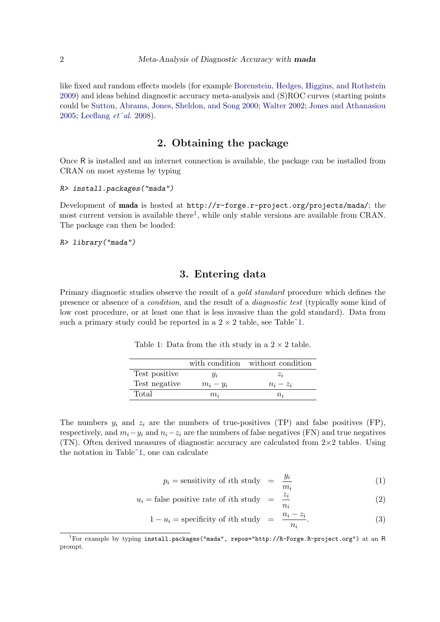like fixed and random effects models (for example [Borenstein, Hedges, Higgins, and Rothstein](#page-18-3) [2009\)](#page-18-3) and ideas behind diagnostic accuracy meta-analysis and (S)ROC curves (starting points could be [Sutton, Abrams, Jones, Sheldon, and Song](#page-19-9) [2000;](#page-19-9) [Walter](#page-20-0) [2002;](#page-20-0) [Jones and Athanasiou](#page-19-10) [2005;](#page-19-10) [Leeflang](#page-19-4) et˜al. [2008\)](#page-19-4).

## 2. Obtaining the package

Once R is installed and an internet connection is available, the package can be installed from CRAN on most systems by typing

```
R> install.packages("mada")
```
Development of mada is hosted at http://r-forge.r-project.org/projects/mada/; the most current version is available there<sup>[1](#page-1-0)</sup>, while only stable versions are available from CRAN. The package can then be loaded:

R> library("mada")

### 3. Entering data

Primary diagnostic studies observe the result of a *gold standard* procedure which defines the presence or absence of a condition, and the result of a diagnostic test (typically some kind of low cost procedure, or at least one that is less invasive than the gold standard). Data from such a primary study could be reported in a  $2 \times 2$  table, see Table<sup> $\sim$ 1.</sup>

<span id="page-1-1"></span>Table 1: Data from the *i*th study in a  $2 \times 2$  table.

|               |             | with condition without condition |
|---------------|-------------|----------------------------------|
| Test positive | Чi          | $z_i$                            |
| Test negative | $m_i - y_i$ | $n_i - z_i$                      |
| Total         | $m_i$       | $n_i$                            |

The numbers  $y_i$  and  $z_i$  are the numbers of true-positives (TP) and false positives (FP), respectively, and  $m_i - y_i$  and  $n_i - z_i$  are the numbers of false negatives (FN) and true negatives (TN). Often derived measures of diagnostic accuracy are calculated from  $2\times 2$  tables. Using the notation in Table[˜1,](#page-1-1) one can calculate

$$
p_i = \text{sensitivity of } i\text{th study} = \frac{y_i}{m_i} \tag{1}
$$

$$
u_i = \text{false positive rate of } i\text{th study} = \frac{z_i}{n_i} \tag{2}
$$

$$
1 - u_i = \text{specificity of } i\text{th study} = \frac{n_i - z_i}{n_i}.
$$
 (3)

<span id="page-1-0"></span><sup>1</sup>For example by typing install.packages("mada", repos="http://R-Forge.R-project.org") at an R prompt.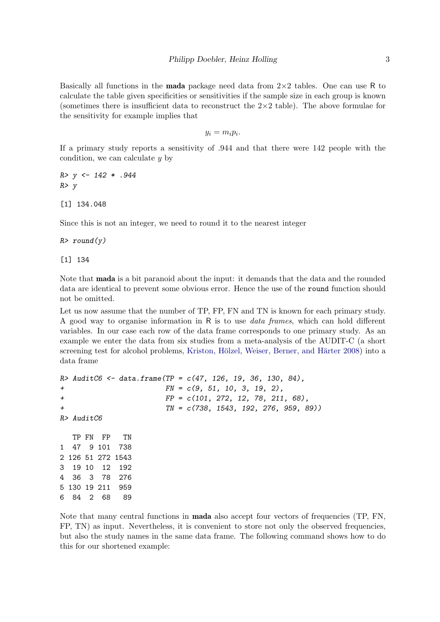Basically all functions in the **mada** package need data from  $2\times 2$  tables. One can use R to calculate the table given specificities or sensitivities if the sample size in each group is known (sometimes there is insufficient data to reconstruct the  $2\times 2$  table). The above formulae for the sensitivity for example implies that

$$
y_i = m_i p_i.
$$

If a primary study reports a sensitivity of .944 and that there were 142 people with the condition, we can calculate  $y$  by

 $R > y \leftarrow 142 * .944$  $R$ > y [1] 134.048

Since this is not an integer, we need to round it to the nearest integer

 $R$ > round(y)

[1] 134

Note that mada is a bit paranoid about the input: it demands that the data and the rounded data are identical to prevent some obvious error. Hence the use of the round function should not be omitted.

Let us now assume that the number of TP, FP, FN and TN is known for each primary study. A good way to organise information in R is to use data frames, which can hold different variables. In our case each row of the data frame corresponds to one primary study. As an example we enter the data from six studies from a meta-analysis of the AUDIT-C (a short screening test for alcohol problems, Kriston, Hölzel, Weiser, Berner, and Härter [2008\)](#page-19-11) into a data frame

```
R > \text{Audio} < -\text{ data}.\text{frame}(TP = c(47, 126, 19, 36, 130, 84),FN = c(9, 51, 10, 3, 19, 2),+ FP = c(101, 272, 12, 78, 211, 68),
+ TN = c(738, 1543, 192, 276, 959, 89))
R> AuditC6
  TP FN FP TN
1 47 9 101 738
2 126 51 272 1543
3 19 10 12 192
4 36 3 78 276
5 130 19 211 959
6 84 2 68 89
```
Note that many central functions in mada also accept four vectors of frequencies (TP, FN, FP, TN) as input. Nevertheless, it is convenient to store not only the observed frequencies, but also the study names in the same data frame. The following command shows how to do this for our shortened example: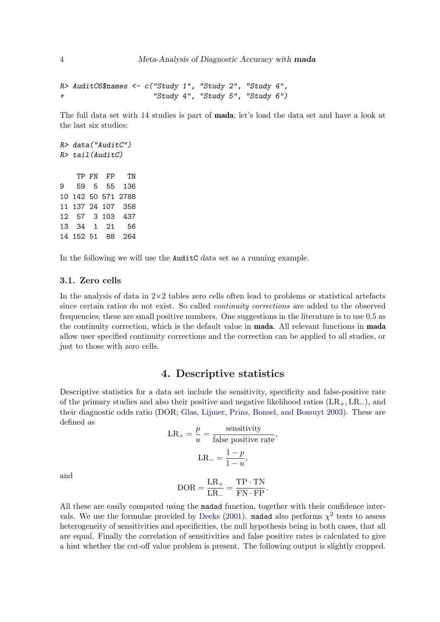```
R> AuditC6$names <- c("Study 1", "Study 2", "Study 4",
+ "Study 4", "Study 5", "Study 6")
```
The full data set with 14 studies is part of mada; let's load the data set and have a look at the last six studies:

In the following we will use the AuditC data set as a running example.

#### 3.1. Zero cells

In the analysis of data in  $2\times 2$  tables zero cells often lead to problems or statistical artefacts since certain ratios do not exist. So called continuity corrections are added to the observed frequencies; these are small positive numbers. One suggestions in the literature is to use 0.5 as the continuity correction, which is the default value in **mada**. All relevant functions in **mada** allow user specified continuity corrections and the correction can be applied to all studies, or just to those with zero cells.

### 4. Descriptive statistics

Descriptive statistics for a data set include the sensitivity, specificity and false-positive rate of the primary studies and also their positive and negative likelihood ratios  $(LR_+, LR_-)$ , and their diagnostic odds ratio (DOR; [Glas, Lijmer, Prins, Bonsel, and Bossuyt](#page-18-4) [2003\)](#page-18-4). These are defined as sensitivity

$$
LR_{+} = \frac{p}{u} = \frac{\text{sensitivity}}{\text{false positive rate}},
$$

$$
LR_{-} = \frac{1-p}{1-u},
$$

and

$$
DOR = \frac{LR_+}{LR_-} = \frac{TP \cdot TN}{FN \cdot FP}.
$$

All these are easily computed using the madad function, together with their confidence inter-vals. We use the formulae provided by [Deeks](#page-18-5) [\(2001\)](#page-18-5). madad also performs  $\chi^2$  tests to assess heterogeneity of sensitivities and specificities, the null hypothesis being in both cases, that all are equal. Finally the correlation of sensitivities and false positive rates is calculated to give a hint whether the cut-off value problem is present. The following output is slightly cropped.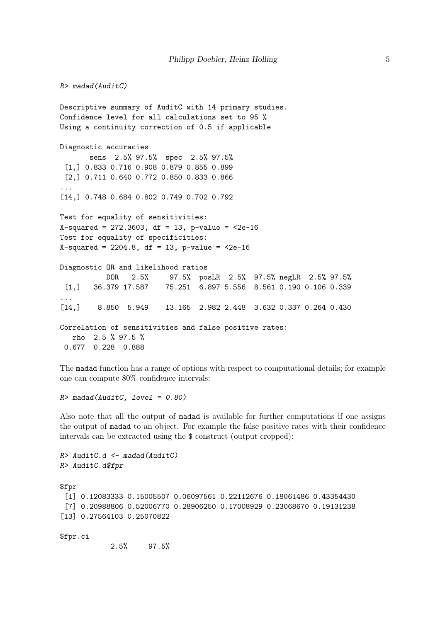$R$ > madad(AuditC)

Descriptive summary of AuditC with 14 primary studies. Confidence level for all calculations set to 95 % Using a continuity correction of 0.5 if applicable Diagnostic accuracies sens 2.5% 97.5% spec 2.5% 97.5% [1,] 0.833 0.716 0.908 0.879 0.855 0.899 [2,] 0.711 0.640 0.772 0.850 0.833 0.866 ... [14,] 0.748 0.684 0.802 0.749 0.702 0.792 Test for equality of sensitivities:  $X$ -squared = 272.3603, df = 13, p-value =  $2e-16$ Test for equality of specificities:  $X$ -squared = 2204.8, df = 13, p-value =  $2e-16$ Diagnostic OR and likelihood ratios DOR 2.5% 97.5% posLR 2.5% 97.5% negLR 2.5% 97.5% [1,] 36.379 17.587 75.251 6.897 5.556 8.561 0.190 0.106 0.339 ... [14,] 8.850 5.949 13.165 2.982 2.448 3.632 0.337 0.264 0.430 Correlation of sensitivities and false positive rates: rho 2.5 % 97.5 % 0.677 0.228 0.888

The madad function has a range of options with respect to computational details; for example one can compute 80% confidence intervals:

 $R$  madad(AuditC, level = 0.80)

Also note that all the output of madad is available for further computations if one assigns the output of madad to an object. For example the false positive rates with their confidence intervals can be extracted using the \$ construct (output cropped):

```
R> AuditC.d <- madad(AuditC)
R> AuditC.d$fpr
$fpr
 [1] 0.12083333 0.15005507 0.06097561 0.22112676 0.18061486 0.43354430
 [7] 0.20988806 0.52006770 0.28906250 0.17008929 0.23068670 0.19131238
[13] 0.27564103 0.25070822
$fpr.ci
```
2.5% 97.5%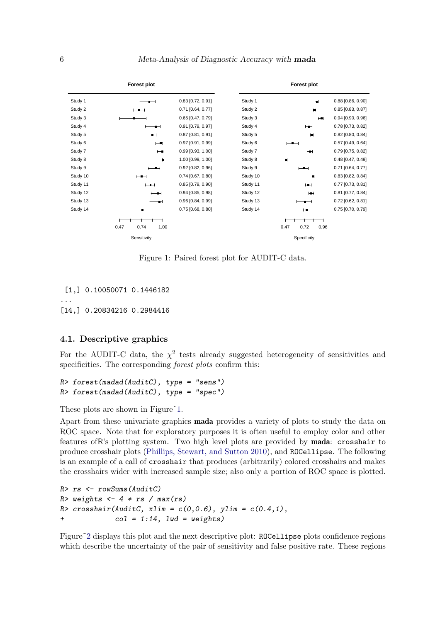

<span id="page-5-0"></span>Figure 1: Paired forest plot for AUDIT-C data.

[1,] 0.10050071 0.1446182 ... [14,] 0.20834216 0.2984416

#### 4.1. Descriptive graphics

For the AUDIT-C data, the  $\chi^2$  tests already suggested heterogeneity of sensitivities and specificities. The corresponding *forest plots* confirm this:

```
R> forest(madad(AuditC), type = "sens")
R> forest(madad(AuditC), type = "spec")
```
These plots are shown in Figure<sup>~1.</sup>

Apart from these univariate graphics mada provides a variety of plots to study the data on ROC space. Note that for exploratory purposes it is often useful to employ color and other features ofR's plotting system. Two high level plots are provided by mada: crosshair to produce crosshair plots [\(Phillips, Stewart, and Sutton](#page-19-12) [2010\)](#page-19-12), and ROCellipse. The following is an example of a call of crosshair that produces (arbitrarily) colored crosshairs and makes the crosshairs wider with increased sample size; also only a portion of ROC space is plotted.

```
R> rs <- rowSums(AuditC)
R> weights \leq -4 * rs / max(rs)
R> crosshair(AuditC, xlim = c(0,0.6), ylim = c(0.4,1),
\text{col} = 1:14, 1 \text{wd} = \text{weights})
```
Figure<sup> $\degree$ 2</sup> displays this plot and the next descriptive plot: ROCellipse plots confidence regions which describe the uncertainty of the pair of sensitivity and false positive rate. These regions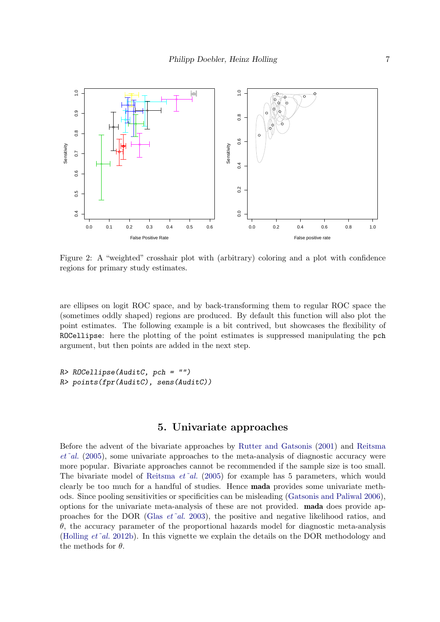

<span id="page-6-0"></span>Figure 2: A "weighted" crosshair plot with (arbitrary) coloring and a plot with confidence regions for primary study estimates.

are ellipses on logit ROC space, and by back-transforming them to regular ROC space the (sometimes oddly shaped) regions are produced. By default this function will also plot the point estimates. The following example is a bit contrived, but showcases the flexibility of ROCellipse: here the plotting of the point estimates is suppressed manipulating the pch argument, but then points are added in the next step.

R> ROCellipse(AuditC, pch = "") R> points(fpr(AuditC), sens(AuditC))

### 5. Univariate approaches

Before the advent of the bivariate approaches by [Rutter and Gatsonis](#page-19-1) [\(2001\)](#page-19-1) and [Reitsma](#page-19-0)  $et$ <sup> $\alpha$ </sup>l. [\(2005\)](#page-19-0), some univariate approaches to the meta-analysis of diagnostic accuracy were more popular. Bivariate approaches cannot be recommended if the sample size is too small. The bivariate model of [Reitsma](#page-19-0)  $et^2al.$  [\(2005\)](#page-19-0) for example has 5 parameters, which would clearly be too much for a handful of studies. Hence mada provides some univariate methods. Since pooling sensitivities or specificities can be misleading [\(Gatsonis and Paliwal](#page-18-6) [2006\)](#page-18-6), options for the univariate meta-analysis of these are not provided. mada does provide approaches for the DOR (Glas  $et$ <sup> $\alpha$ </sup>d. [2003\)](#page-18-4), the positive and negative likelihood ratios, and θ, the accuracy parameter of the proportional hazards model for diagnostic meta-analysis [\(Holling](#page-19-2)  $et$ <sup> $\alpha$ </sup>al. [2012b\)](#page-19-2). In this vignette we explain the details on the DOR methodology and the methods for  $\theta$ .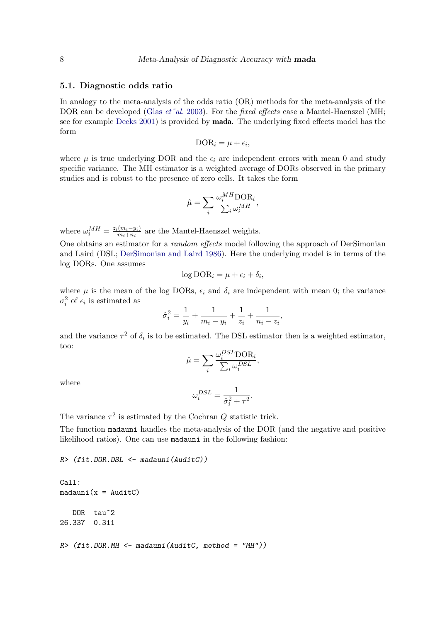#### 5.1. Diagnostic odds ratio

In analogy to the meta-analysis of the odds ratio (OR) methods for the meta-analysis of the DOR can be developed (Glas  $et^2al.$  [2003\)](#page-18-4). For the fixed effects case a Mantel-Haenszel (MH; see for example [Deeks](#page-18-5) [2001\)](#page-18-5) is provided by mada. The underlying fixed effects model has the form

$$
\text{DOR}_i = \mu + \epsilon_i,
$$

where  $\mu$  is true underlying DOR and the  $\epsilon_i$  are independent errors with mean 0 and study specific variance. The MH estimator is a weighted average of DORs observed in the primary studies and is robust to the presence of zero cells. It takes the form

$$
\hat{\mu} = \sum_{i} \frac{\omega_i^{MH} \text{DOR}_i}{\sum_i \omega_i^{MH}},
$$

where  $\omega_i^{MH} = \frac{z_i(m_i - y_i)}{m_i + n_i}$  $\frac{(m_i-y_i)}{m_i+n_i}$  are the Mantel-Haenszel weights.

One obtains an estimator for a random effects model following the approach of DerSimonian and Laird (DSL; [DerSimonian and Laird](#page-18-7) [1986\)](#page-18-7). Here the underlying model is in terms of the log DORs. One assumes

$$
\log\text{DOR}_i = \mu + \epsilon_i + \delta_i,
$$

where  $\mu$  is the mean of the log DORs,  $\epsilon_i$  and  $\delta_i$  are independent with mean 0; the variance  $\sigma_i^2$  of  $\epsilon_i$  is estimated as

$$
\hat{\sigma}_i^2 = \frac{1}{y_i} + \frac{1}{m_i - y_i} + \frac{1}{z_i} + \frac{1}{n_i - z_i},
$$

and the variance  $\tau^2$  of  $\delta_i$  is to be estimated. The DSL estimator then is a weighted estimator, too:

$$
\hat{\mu} = \sum_{i} \frac{\omega_i^{DSL} \text{DOR}_i}{\sum_{i} \omega_i^{DSL}},
$$

where

$$
\omega_i^{DSL} = \frac{1}{\hat{\sigma}_i^2 + \tau^2}.
$$

The variance  $\tau^2$  is estimated by the Cochran Q statistic trick.

The function madauni handles the meta-analysis of the DOR (and the negative and positive likelihood ratios). One can use madauni in the following fashion:

R> (fit.DOR.DSL <- madauni(AuditC))

```
Call:
madauni(x = Audi)DOR tau<sup>2</sup>
26.337 0.311
R / (fit. DOR. MH <- madauni(AuditC, method = "MH"))
```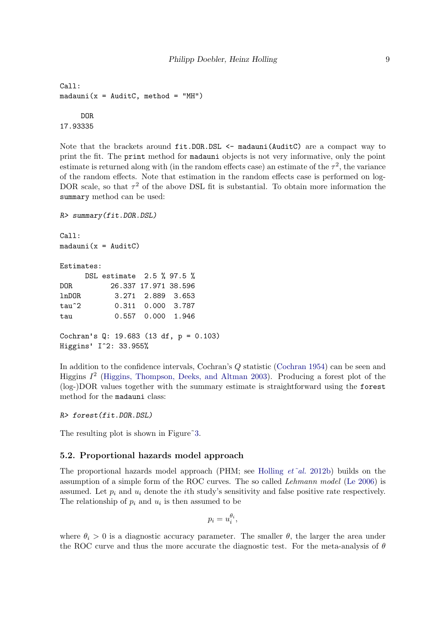```
Call:
madauni(x = AuditC, method = "MH")DOR
17.93335
```
Note that the brackets around fit.DOR.DSL  $\leq$  madauni(AuditC) are a compact way to print the fit. The print method for madauni objects is not very informative, only the point estimate is returned along with (in the random effects case) an estimate of the  $\tau^2$ , the variance of the random effects. Note that estimation in the random effects case is performed on log-DOR scale, so that  $\tau^2$  of the above DSL fit is substantial. To obtain more information the summary method can be used:

```
R> summary(fit.DOR.DSL)
Call:
madauni(x = AuditC)Estimates:
     DSL estimate 2.5 % 97.5 %
DOR 26.337 17.971 38.596
lnDOR 3.271 2.889 3.653
tau^2 0.311 0.000 3.787
tau 0.557 0.000 1.946
Cochran's Q: 19.683 (13 df, p = 0.103)
Higgins' I^2: 33.955%
```
In addition to the confidence intervals, Cochran's Q statistic [\(Cochran](#page-18-8) [1954\)](#page-18-8) can be seen and Higgins  $I^2$  [\(Higgins, Thompson, Deeks, and Altman](#page-18-9) [2003\)](#page-18-9). Producing a forest plot of the (log-)DOR values together with the summary estimate is straightforward using the forest method for the madauni class:

R> forest(fit.DOR.DSL)

The resulting plot is shown in Figure<sup>3</sup>.

#### 5.2. Proportional hazards model approach

The proportional hazards model approach (PHM; see [Holling](#page-19-2)  $et^2al.$  [2012b\)](#page-19-2) builds on the assumption of a simple form of the ROC curves. The so called Lehmann model [\(Le](#page-19-13) [2006\)](#page-19-13) is assumed. Let  $p_i$  and  $u_i$  denote the *i*th study's sensitivity and false positive rate respectively. The relationship of  $p_i$  and  $u_i$  is then assumed to be

$$
p_i = u_i^{\theta_i},
$$

where  $\theta_i > 0$  is a diagnostic accuracy parameter. The smaller  $\theta$ , the larger the area under the ROC curve and thus the more accurate the diagnostic test. For the meta-analysis of  $\theta$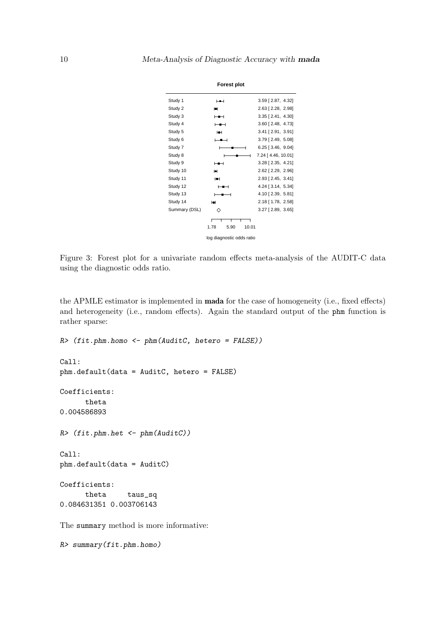

<span id="page-9-0"></span>Figure 3: Forest plot for a univariate random effects meta-analysis of the AUDIT-C data using the diagnostic odds ratio.

the APMLE estimator is implemented in mada for the case of homogeneity (i.e., fixed effects) and heterogeneity (i.e., random effects). Again the standard output of the phm function is rather sparse:

```
R> (fit.phm.homo <- phm(AuditC, hetero = FALSE))
Call:
phm.default(data = AuditC, hetero = FALSE)
Coefficients:
      theta
0.004586893
R> (fit.phm.het <- phm(AuditC))
Call:
phm.default(data = AuditC)
Coefficients:
      theta taus_sq
0.084631351 0.003706143
The summary method is more informative:
```

```
R> summary(fit.phm.homo)
```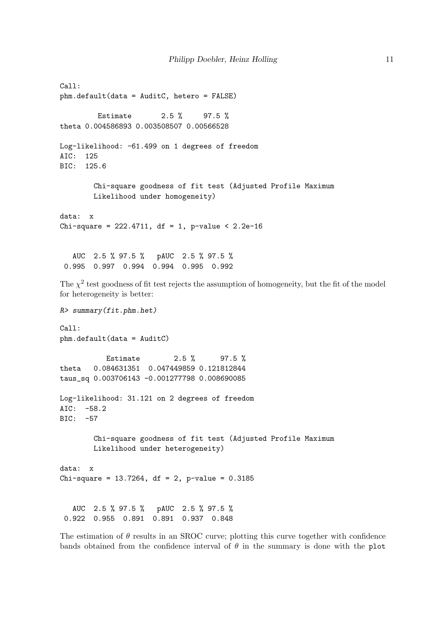```
Call:
phm.default(data = AuditC, hetero = FALSE)
         Estimate 2.5 % 97.5 %
theta 0.004586893 0.003508507 0.00566528
Log-likelihood: -61.499 on 1 degrees of freedom
AIC: 125
BIC: 125.6
       Chi-square goodness of fit test (Adjusted Profile Maximum
       Likelihood under homogeneity)
data: x
Chi-square = 222.4711, df = 1, p-value < 2.2e-16AUC 2.5 % 97.5 % pAUC 2.5 % 97.5 %
 0.995 0.997 0.994 0.994 0.995 0.992
The \chi^2 test goodness of fit test rejects the assumption of homogeneity, but the fit of the model
for heterogeneity is better:
R> summary(fit.phm.het)
Call:
phm.default(data = AuditC)
          Estimate 2.5 % 97.5 %
theta 0.084631351 0.047449859 0.121812844
taus_sq 0.003706143 -0.001277798 0.008690085
Log-likelihood: 31.121 on 2 degrees of freedom
AIC: -58.2
BIC: -57
       Chi-square goodness of fit test (Adjusted Profile Maximum
       Likelihood under heterogeneity)
data: x
Chi-square = 13.7264, df = 2, p-value = 0.3185AUC 2.5 % 97.5 % pAUC 2.5 % 97.5 %
 0.922 0.955 0.891 0.891 0.937 0.848
```
The estimation of  $\theta$  results in an SROC curve; plotting this curve together with confidence bands obtained from the confidence interval of  $\theta$  in the summary is done with the plot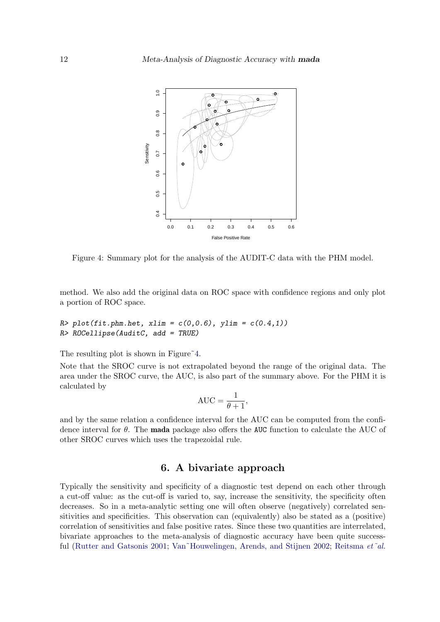

<span id="page-11-0"></span>Figure 4: Summary plot for the analysis of the AUDIT-C data with the PHM model.

method. We also add the original data on ROC space with confidence regions and only plot a portion of ROC space.

 $R$ > plot(fit.phm.het, xlim =  $c(0,0.6)$ , ylim =  $c(0.4,1)$ ) R> ROCellipse(AuditC, add = TRUE)

The resulting plot is shown in Figure<sup> $4$ </sup>.

Note that the SROC curve is not extrapolated beyond the range of the original data. The area under the SROC curve, the AUC, is also part of the summary above. For the PHM it is calculated by

$$
AUC = \frac{1}{\theta + 1},
$$

and by the same relation a confidence interval for the AUC can be computed from the confidence interval for  $\theta$ . The **mada** package also offers the AUC function to calculate the AUC of other SROC curves which uses the trapezoidal rule.

### 6. A bivariate approach

Typically the sensitivity and specificity of a diagnostic test depend on each other through a cut-off value: as the cut-off is varied to, say, increase the sensitivity, the specificity often decreases. So in a meta-analytic setting one will often observe (negatively) correlated sensitivities and specificities. This observation can (equivalently) also be stated as a (positive) correlation of sensitivities and false positive rates. Since these two quantities are interrelated, bivariate approaches to the meta-analysis of diagnostic accuracy have been quite success-ful [\(Rutter and Gatsonis](#page-19-1) [2001;](#page-19-1) Van~Houwelingen, Arends, and Stijnen [2002;](#page-20-1) [Reitsma](#page-19-0) et~al.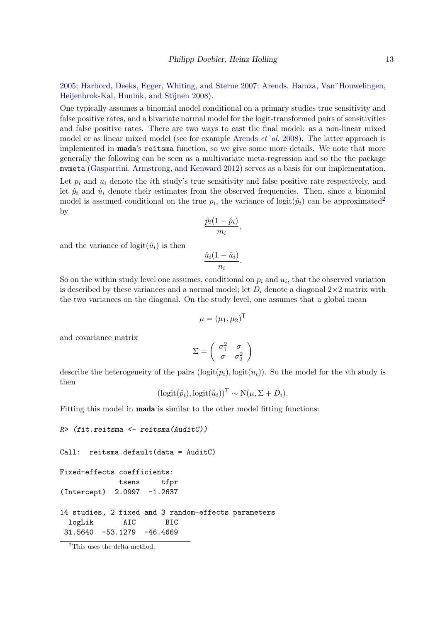[2005;](#page-19-0) [Harbord, Deeks, Egger, Whiting, and Sterne](#page-18-10) [2007;](#page-18-10) [Arends, Hamza, Van˜Houwelingen,](#page-18-11) [Heijenbrok-Kal, Hunink, and Stijnen](#page-18-11) [2008\)](#page-18-11).

One typically assumes a binomial model conditional on a primary studies true sensitivity and false positive rates, and a bivariate normal model for the logit-transformed pairs of sensitivities and false positive rates. There are two ways to cast the final model: as a non-linear mixed model or as linear mixed model (see for example [Arends](#page-18-11)  $et^*al.$  [2008\)](#page-18-11). The latter approach is implemented in **mada**'s reitsma function, so we give some more details. We note that more generally the following can be seen as a multivariate meta-regression and so the the package mvmeta [\(Gasparrini, Armstrong, and Kenward](#page-18-12) [2012\)](#page-18-12) serves as a basis for our implementation.

Let  $p_i$  and  $u_i$  denote the *i*th study's true sensitivity and false positive rate respectively, and let  $\hat{p}_i$  and  $\hat{u}_i$  denote their estimates from the observed frequencies. Then, since a binomial model is assumed conditional on the true  $p_i$ , the variance of logit $(\hat{p}_i)$  can be approximated<sup>[2](#page-12-0)</sup> by

$$
\frac{\hat{p}_i(1-\hat{p}_i)}{m_i},
$$

and the variance of  $logit(\hat{u}_i)$  is then

$$
\frac{\hat{u}_i(1-\hat{u}_i)}{n_i}.
$$

So on the within study level one assumes, conditional on  $p_i$  and  $u_i$ , that the observed variation is described by these variances and a normal model; let  $D_i$  denote a diagonal  $2\times 2$  matrix with the two variances on the diagonal. On the study level, one assumes that a global mean

$$
\mu = (\mu_1, \mu_2)^{\mathsf{T}}
$$

and covariance matrix

$$
\Sigma = \left( \begin{array}{cc} \sigma_1^2 & \sigma \\ \sigma & \sigma_2^2 \end{array} \right)
$$

describe the heterogeneity of the pairs  $(logit(p_i), logit(u_i))$ . So the model for the *i*th study is then

$$
(\mathrm{logit}(\hat{p}_i), \mathrm{logit}(\hat{u}_i))^{\mathsf{T}} \sim \mathrm{N}(\mu, \Sigma + D_i).
$$

Fitting this model in mada is similar to the other model fitting functions:

```
R> (fit.reitsma <- reitsma(AuditC))
Call: reitsma.default(data = AuditC)
Fixed-effects coefficients:
             tsens tfpr
(Intercept) 2.0997 -1.2637
14 studies, 2 fixed and 3 random-effects parameters
 logLik AIC BIC
 31.5640 -53.1279 -46.4669
```
<span id="page-12-0"></span><sup>2</sup>This uses the delta method.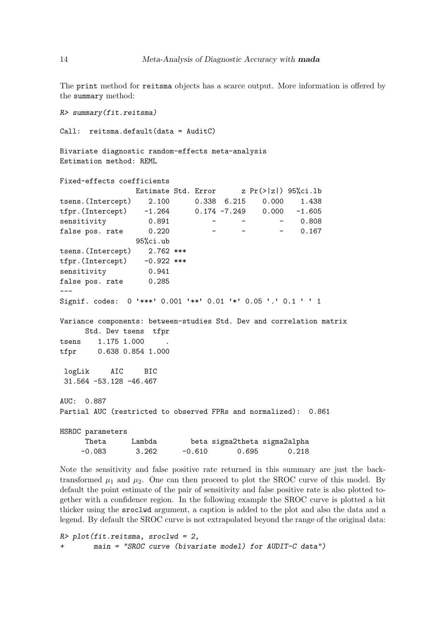The print method for reitsma objects has a scarce output. More information is offered by the summary method:

R> summary(fit.reitsma)

Call: reitsma.default(data = AuditC)

Bivariate diagnostic random-effects meta-analysis Estimation method: REML

```
Fixed-effects coefficients
```

|                                                                      |          |          | Estimate Std. Error $z Pr(> z ) 95\%$ ci.lb |          |
|----------------------------------------------------------------------|----------|----------|---------------------------------------------|----------|
| tsens.(Intercept) 2.100 0.338 6.215 0.000                            |          |          |                                             | 1.438    |
| tfpr.(Intercept) $-1.264$ 0.174 -7.249 0.000 -1.605                  |          |          |                                             |          |
| sensitivity                                                          | 0.891    |          |                                             | $-0.808$ |
| false pos. rate 0.220                                                |          |          |                                             | 0.167    |
|                                                                      | 95%ci.ub |          |                                             |          |
| tsens. (Intercept) 2.762 ***                                         |          |          |                                             |          |
| $tfpr.(Intercept)$ -0.922 ***                                        |          |          |                                             |          |
| sensitivity                                                          | 0.941    |          |                                             |          |
| false pos. rate 0.285                                                |          |          |                                             |          |
|                                                                      |          |          |                                             |          |
| Signif. codes: 0 '***' 0.001 '**' 0.01 '*' 0.05 '.' 0.1 ' ' 1        |          |          |                                             |          |
|                                                                      |          |          |                                             |          |
| Variance components: between-studies Std. Dev and correlation matrix |          |          |                                             |          |
| Std. Dev tsens tfpr                                                  |          |          |                                             |          |
| 1.175 1.000<br>tsens                                                 |          |          |                                             |          |
|                                                                      |          |          |                                             |          |
|                                                                      |          |          |                                             |          |
| logLik AIC BIC                                                       |          |          |                                             |          |
| $31.564 - 53.128 - 46.467$                                           |          |          |                                             |          |
|                                                                      |          |          |                                             |          |
| AUC: 0.887                                                           |          |          |                                             |          |
| Partial AUC (restricted to observed FPRs and normalized): 0.861      |          |          |                                             |          |
|                                                                      |          |          |                                             |          |
| HSROC parameters                                                     |          |          |                                             |          |
| Theta Lambda                                                         |          |          | beta sigma2theta sigma2alpha                |          |
| $-0.083$                                                             | 3.262    | $-0.610$ | 0.695                                       | 0.218    |

Note the sensitivity and false positive rate returned in this summary are just the backtransformed  $\mu_1$  and  $\mu_2$ . One can then proceed to plot the SROC curve of this model. By default the point estimate of the pair of sensitivity and false positive rate is also plotted together with a confidence region. In the following example the SROC curve is plotted a bit thicker using the sroclwd argument, a caption is added to the plot and also the data and a legend. By default the SROC curve is not extrapolated beyond the range of the original data:

R> plot(fit.reitsma, sroclwd = 2, + main = "SROC curve (bivariate model) for AUDIT-C data")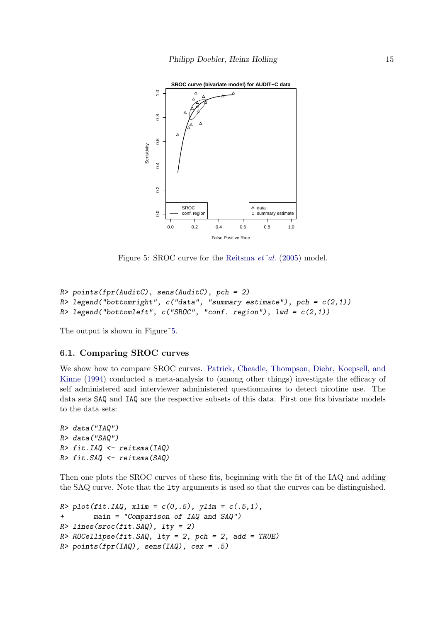

<span id="page-14-0"></span>Figure 5: SROC curve for the [Reitsma](#page-19-0) et~al. [\(2005\)](#page-19-0) model.

```
R> points(fpr(AuditC), sens(AuditC), pch = 2)
R> legend("bottomright", c("data", "summary estimate"), pch = c(2,1))R> legend("bottomleft", c("SROC", "conf. region"), 1wd = c(2,1))
```
The output is shown in Figure<sup>55</sup>.

### 6.1. Comparing SROC curves

We show how to compare SROC curves. [Patrick, Cheadle, Thompson, Diehr, Koepsell, and](#page-19-14) [Kinne](#page-19-14) [\(1994\)](#page-19-14) conducted a meta-analysis to (among other things) investigate the efficacy of self administered and interviewer administered questionnaires to detect nicotine use. The data sets SAQ and IAQ are the respective subsets of this data. First one fits bivariate models to the data sets:

```
R> data("IAQ")
R> data("SAQ")
R> fit.IAQ <- reitsma(IAQ)
R> fit.SAQ <- reitsma(SAQ)
```
Then one plots the SROC curves of these fits, beginning with the fit of the IAQ and adding the SAQ curve. Note that the lty arguments is used so that the curves can be distinguished.

```
R > plot(fit. IAQ, xlim = c(0,.5), ylim = c(.5,1),
+ main = "Comparison of IAQ and SAQ")
R > 1ines(sroc(fit.SAQ), lty = 2)
R > ROCellipse(fit. SAQ, lty = 2, pch = 2, add = TRUE)
R> points(fpr(IAQ), sens(IAQ), cex = .5)
```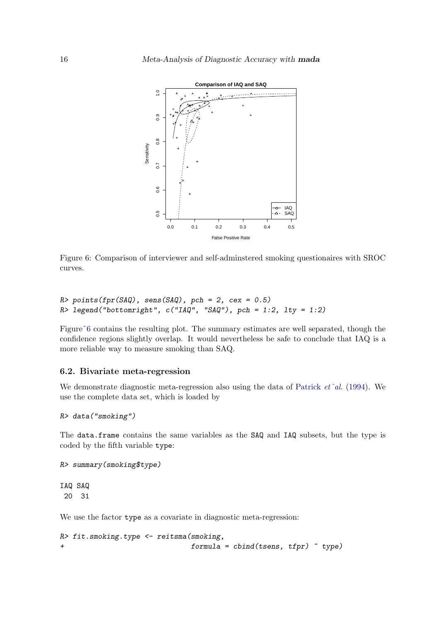

<span id="page-15-0"></span>Figure 6: Comparison of interviewer and self-adminstered smoking questionaires with SROC curves.

```
R> points(fpr(SAQ), sens(SAQ), pch = 2, cex = 0.5)
R> legend("bottomright", c("IAQ", "SAQ"), pch = 1:2, lty = 1:2)
```
Figure<sup> $\sim$ 6</sup> contains the resulting plot. The summary estimates are well separated, though the confidence regions slightly overlap. It would nevertheless be safe to conclude that IAQ is a more reliable way to measure smoking than SAQ.

#### 6.2. Bivariate meta-regression

We demonstrate diagnostic meta-regression also using the data of [Patrick](#page-19-14)  $et^*al.$  [\(1994\)](#page-19-14). We use the complete data set, which is loaded by

R> data("smoking")

The data.frame contains the same variables as the SAQ and IAQ subsets, but the type is coded by the fifth variable type:

```
R> summary(smoking$type)
```
IAQ SAQ 20 31

We use the factor type as a covariate in diagnostic meta-regression:

R> fit.smoking.type <- reitsma(smoking, + formula = cbind(tsens, tfpr) ~ type)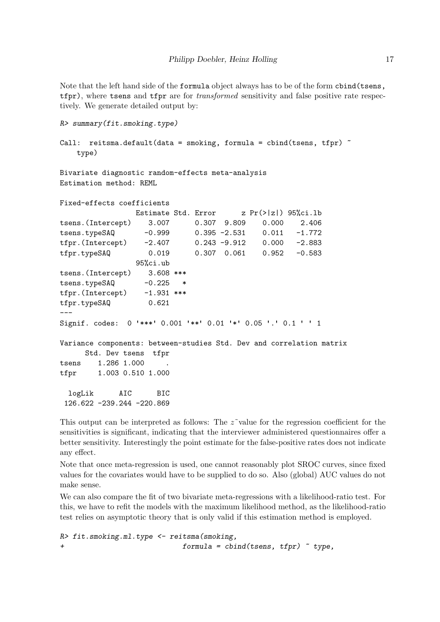Note that the left hand side of the formula object always has to be of the form cbind(tsens, tfpr), where tsens and tfpr are for *transformed* sensitivity and false positive rate respectively. We generate detailed output by:

```
R> summary(fit.smoking.type)
```

```
Call: reitsma.default(data = smoking, formula = cbind(tsens, tfpr) \tilde{ }type)
```
Bivariate diagnostic random-effects meta-analysis Estimation method: REML

```
Fixed-effects coefficients
               Estimate Std. Error z Pr(>|z|) 95%ci.lb
tsens.(Intercept) 3.007 0.307 9.809 0.000 2.406
tsens.typeSAQ -0.999 0.395 -2.531 0.011 -1.772
tfpr.(Intercept) -2.407 0.243 -9.912 0.000 -2.883
tfpr.typeSAQ 0.019 0.307 0.061 0.952 -0.583
               95%ci.ub
tsens.(Intercept) 3.608 ***
tsens.typeSAQ -0.225 *
tfpr.(Intercept) -1.931 ***
tfpr.typeSAQ 0.621
---Signif. codes: 0 '***' 0.001 '**' 0.01 '*' 0.05 '.' 0.1 ' ' 1
Variance components: between-studies Std. Dev and correlation matrix
     Std. Dev tsens tfpr
tsens 1.286 1.000
tfpr 1.003 0.510 1.000
 logLik AIC BIC
 126.622 -239.244 -220.869
```
This output can be interpreted as follows: The  $z^{\sim}$  value for the regression coefficient for the sensitivities is significant, indicating that the interviewer administered questionnaires offer a better sensitivity. Interestingly the point estimate for the false-positive rates does not indicate any effect.

Note that once meta-regression is used, one cannot reasonably plot SROC curves, since fixed values for the covariates would have to be supplied to do so. Also (global) AUC values do not make sense.

We can also compare the fit of two bivariate meta-regressions with a likelihood-ratio test. For this, we have to refit the models with the maximum likelihood method, as the likelihood-ratio test relies on asymptotic theory that is only valid if this estimation method is employed.

```
R> fit.smoking.ml.type <- reitsma(smoking,
+ formula = cbind(tsens, tfpr) ~ type,
```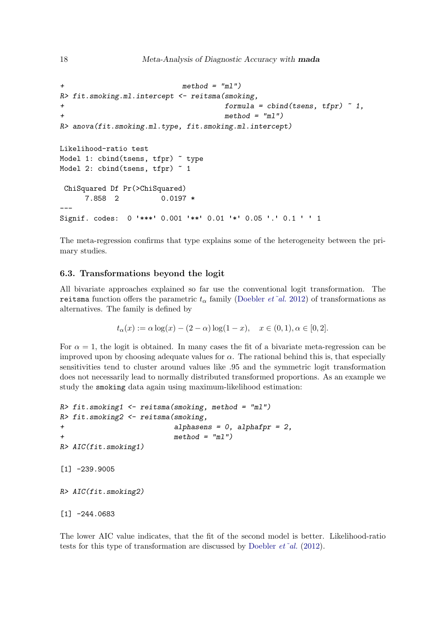```
method = "m1")R> fit.smoking.ml.intercept <- reitsma(smoking,
+ formula = cbind(tsens, tfpr) ~ 1,
                                    method = "m1")R> anova(fit.smoking.ml.type, fit.smoking.ml.intercept)
Likelihood-ratio test
Model 1: cbind(tsens, tfpr) \tilde{ } type
Model 2: cbind(tsens, tfpr) \degree 1
ChiSquared Df Pr(>ChiSquared)
     7.858 2 0.0197 *
---
Signif. codes: 0 '***' 0.001 '**' 0.01 '*' 0.05 '.' 0.1 ' ' 1
```
The meta-regression confirms that type explains some of the heterogeneity between the primary studies.

### 6.3. Transformations beyond the logit

All bivariate approaches explained so far use the conventional logit transformation. The reitsma function offers the parametric  $t_{\alpha}$  family [\(Doebler](#page-18-0) *et*~al. [2012\)](#page-18-0) of transformations as alternatives. The family is defined by

$$
t_{\alpha}(x) := \alpha \log(x) - (2 - \alpha) \log(1 - x), \quad x \in (0, 1), \alpha \in [0, 2].
$$

For  $\alpha = 1$ , the logit is obtained. In many cases the fit of a bivariate meta-regression can be improved upon by choosing adequate values for  $\alpha$ . The rational behind this is, that especially sensitivities tend to cluster around values like .95 and the symmetric logit transformation does not necessarily lead to normally distributed transformed proportions. As an example we study the smoking data again using maximum-likelihood estimation:

```
R> fit.smoking1 <- reitsma(smoking, method = "ml")
R> fit.smoking2 <- reitsma(smoking,
+ alphasens = 0, alphafpr = 2,
+ method = 'm1")
R> AIC(fit.smoking1)
[1] -239.9005R> AIC(fit.smoking2)
[1] -244.0683
```
The lower AIC value indicates, that the fit of the second model is better. Likelihood-ratio tests for this type of transformation are discussed by [Doebler](#page-18-0)  $et^*al.$  [\(2012\)](#page-18-0).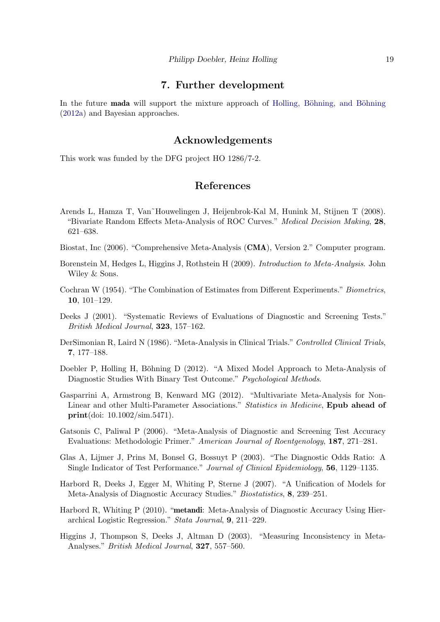### 7. Further development

In the future **mada** will support the mixture approach of Holling, Böhning, and Böhning [\(2012a\)](#page-19-15) and Bayesian approaches.

### Acknowledgements

This work was funded by the DFG project HO 1286/7-2.

### References

- <span id="page-18-11"></span>Arends L, Hamza T, Van˜Houwelingen J, Heijenbrok-Kal M, Hunink M, Stijnen T (2008). "Bivariate Random Effects Meta-Analysis of ROC Curves." Medical Decision Making, 28, 621–638.
- <span id="page-18-1"></span>Biostat, Inc (2006). "Comprehensive Meta-Analysis (CMA), Version 2." Computer program.
- <span id="page-18-3"></span>Borenstein M, Hedges L, Higgins J, Rothstein H (2009). Introduction to Meta-Analysis. John Wiley & Sons.
- <span id="page-18-8"></span>Cochran W (1954). "The Combination of Estimates from Different Experiments." Biometrics, 10, 101–129.
- <span id="page-18-5"></span>Deeks J (2001). "Systematic Reviews of Evaluations of Diagnostic and Screening Tests." British Medical Journal, 323, 157–162.
- <span id="page-18-7"></span>DerSimonian R, Laird N (1986). "Meta-Analysis in Clinical Trials." Controlled Clinical Trials, 7, 177–188.
- <span id="page-18-0"></span>Doebler P, Holling H, Böhning D (2012). "A Mixed Model Approach to Meta-Analysis of Diagnostic Studies With Binary Test Outcome." Psychological Methods.
- <span id="page-18-12"></span>Gasparrini A, Armstrong B, Kenward MG (2012). "Multivariate Meta-Analysis for Non-Linear and other Multi-Parameter Associations." Statistics in Medicine, Epub ahead of print(doi: 10.1002/sim.5471).
- <span id="page-18-6"></span>Gatsonis C, Paliwal P (2006). "Meta-Analysis of Diagnostic and Screening Test Accuracy Evaluations: Methodologic Primer." American Journal of Roentgenology, 187, 271–281.
- <span id="page-18-4"></span>Glas A, Lijmer J, Prins M, Bonsel G, Bossuyt P (2003). "The Diagnostic Odds Ratio: A Single Indicator of Test Performance." Journal of Clinical Epidemiology, 56, 1129–1135.
- <span id="page-18-10"></span>Harbord R, Deeks J, Egger M, Whiting P, Sterne J (2007). "A Unification of Models for Meta-Analysis of Diagnostic Accuracy Studies." Biostatistics, 8, 239–251.
- <span id="page-18-2"></span>Harbord R, Whiting P (2010). "metandi: Meta-Analysis of Diagnostic Accuracy Using Hierarchical Logistic Regression." Stata Journal, 9, 211–229.
- <span id="page-18-9"></span>Higgins J, Thompson S, Deeks J, Altman D (2003). "Measuring Inconsistency in Meta-Analyses." British Medical Journal, 327, 557–560.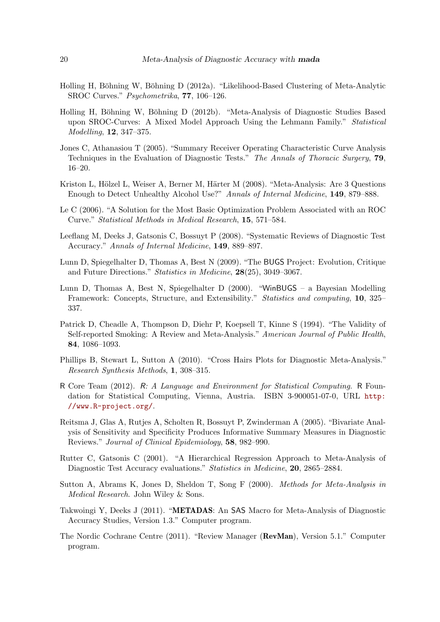- <span id="page-19-15"></span>Holling H, Böhning W, Böhning D (2012a). "Likelihood-Based Clustering of Meta-Analytic SROC Curves." Psychometrika, 77, 106–126.
- <span id="page-19-2"></span>Holling H, Böhning W, Böhning D (2012b). "Meta-Analysis of Diagnostic Studies Based upon SROC-Curves: A Mixed Model Approach Using the Lehmann Family." Statistical Modelling, 12, 347–375.
- <span id="page-19-10"></span>Jones C, Athanasiou T (2005). "Summary Receiver Operating Characteristic Curve Analysis Techniques in the Evaluation of Diagnostic Tests." The Annals of Thoracic Surgery, 79, 16–20.
- <span id="page-19-11"></span>Kriston L, Hölzel L, Weiser A, Berner M, Härter M (2008). "Meta-Analysis: Are 3 Questions Enough to Detect Unhealthy Alcohol Use?" Annals of Internal Medicine, 149, 879–888.
- <span id="page-19-13"></span>Le C (2006). "A Solution for the Most Basic Optimization Problem Associated with an ROC Curve." Statistical Methods in Medical Research, 15, 571–584.
- <span id="page-19-4"></span>Leeflang M, Deeks J, Gatsonis C, Bossuyt P (2008). "Systematic Reviews of Diagnostic Test Accuracy." Annals of Internal Medicine, 149, 889–897.
- <span id="page-19-6"></span>Lunn D, Spiegelhalter D, Thomas A, Best N (2009). "The BUGS Project: Evolution, Critique and Future Directions." Statistics in Medicine, 28(25), 3049–3067.
- <span id="page-19-5"></span>Lunn D, Thomas A, Best N, Spiegelhalter D (2000). "WinBUGS – a Bayesian Modelling Framework: Concepts, Structure, and Extensibility." Statistics and computing, 10, 325– 337.
- <span id="page-19-14"></span>Patrick D, Cheadle A, Thompson D, Diehr P, Koepsell T, Kinne S (1994). "The Validity of Self-reported Smoking: A Review and Meta-Analysis." American Journal of Public Health, 84, 1086–1093.
- <span id="page-19-12"></span>Phillips B, Stewart L, Sutton A (2010). "Cross Hairs Plots for Diagnostic Meta-Analysis." Research Synthesis Methods, 1, 308–315.
- <span id="page-19-8"></span>R Core Team (2012). R: A Language and Environment for Statistical Computing. R Foundation for Statistical Computing, Vienna, Austria. ISBN 3-900051-07-0, URL [http:](http://www.R-project.org/) [//www.R-project.org/](http://www.R-project.org/).
- <span id="page-19-0"></span>Reitsma J, Glas A, Rutjes A, Scholten R, Bossuyt P, Zwinderman A (2005). "Bivariate Analysis of Sensitivity and Specificity Produces Informative Summary Measures in Diagnostic Reviews." Journal of Clinical Epidemiology, 58, 982–990.
- <span id="page-19-1"></span>Rutter C, Gatsonis C (2001). "A Hierarchical Regression Approach to Meta-Analysis of Diagnostic Test Accuracy evaluations." Statistics in Medicine, 20, 2865–2884.
- <span id="page-19-9"></span>Sutton A, Abrams K, Jones D, Sheldon T, Song F (2000). Methods for Meta-Analysis in Medical Research. John Wiley & Sons.
- <span id="page-19-7"></span>Takwoingi Y, Deeks J (2011). "METADAS: An SAS Macro for Meta-Analysis of Diagnostic Accuracy Studies, Version 1.3." Computer program.
- <span id="page-19-3"></span>The Nordic Cochrane Centre (2011). "Review Manager (RevMan), Version 5.1." Computer program.